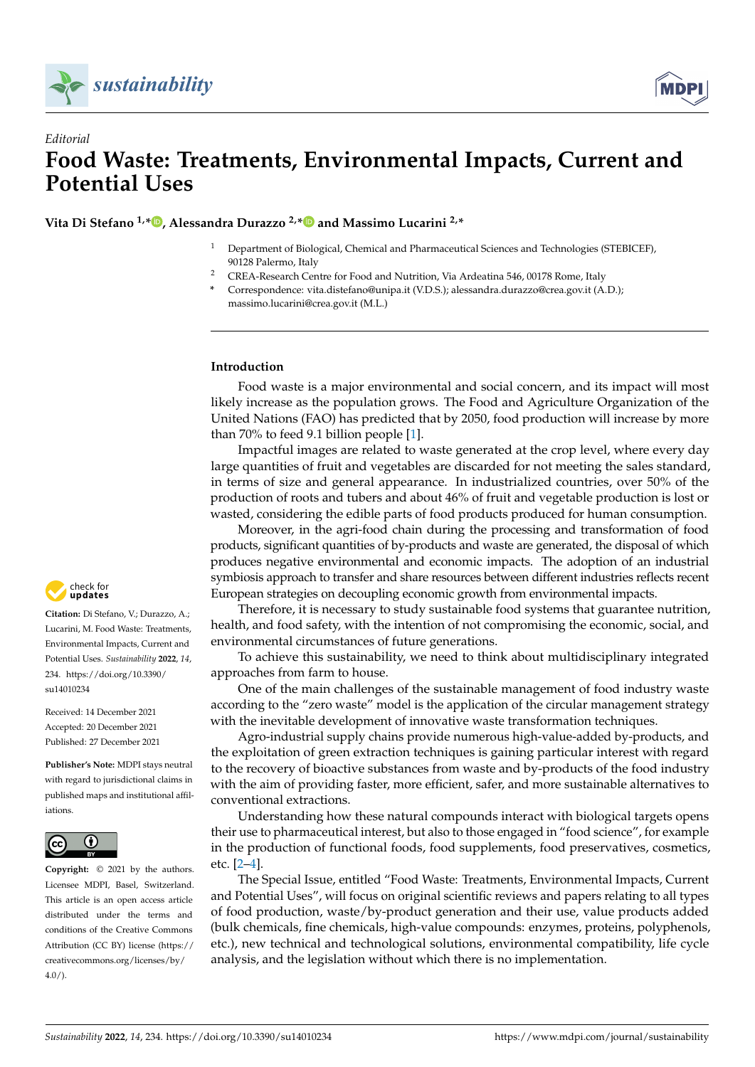



## *Editorial* **Food Waste: Treatments, Environmental Impacts, Current and Potential Uses**

**Vita Di Stefano 1,[\\*](https://orcid.org/0000-0002-4483-2058) , Alessandra Durazzo 2,[\\*](https://orcid.org/0000-0002-7747-9107) and Massimo Lucarini 2,\***

- <sup>1</sup> Department of Biological, Chemical and Pharmaceutical Sciences and Technologies (STEBICEF), 90128 Palermo, Italy
- <sup>2</sup> CREA-Research Centre for Food and Nutrition, Via Ardeatina 546, 00178 Rome, Italy
- **\*** Correspondence: vita.distefano@unipa.it (V.D.S.); alessandra.durazzo@crea.gov.it (A.D.); massimo.lucarini@crea.gov.it (M.L.)

## **Introduction**

Food waste is a major environmental and social concern, and its impact will most likely increase as the population grows. The Food and Agriculture Organization of the United Nations (FAO) has predicted that by 2050, food production will increase by more than 70% to feed 9.1 billion people [\[1\]](#page-1-0).

Impactful images are related to waste generated at the crop level, where every day large quantities of fruit and vegetables are discarded for not meeting the sales standard, in terms of size and general appearance. In industrialized countries, over 50% of the production of roots and tubers and about 46% of fruit and vegetable production is lost or wasted, considering the edible parts of food products produced for human consumption.

Moreover, in the agri-food chain during the processing and transformation of food products, significant quantities of by-products and waste are generated, the disposal of which produces negative environmental and economic impacts. The adoption of an industrial symbiosis approach to transfer and share resources between different industries reflects recent European strategies on decoupling economic growth from environmental impacts.

Therefore, it is necessary to study sustainable food systems that guarantee nutrition, health, and food safety, with the intention of not compromising the economic, social, and environmental circumstances of future generations.

To achieve this sustainability, we need to think about multidisciplinary integrated approaches from farm to house.

One of the main challenges of the sustainable management of food industry waste according to the "zero waste" model is the application of the circular management strategy with the inevitable development of innovative waste transformation techniques.

Agro-industrial supply chains provide numerous high-value-added by-products, and the exploitation of green extraction techniques is gaining particular interest with regard to the recovery of bioactive substances from waste and by-products of the food industry with the aim of providing faster, more efficient, safer, and more sustainable alternatives to conventional extractions.

Understanding how these natural compounds interact with biological targets opens their use to pharmaceutical interest, but also to those engaged in "food science", for example in the production of functional foods, food supplements, food preservatives, cosmetics, etc. [\[2](#page-1-1)[–4\]](#page-1-2).

The Special Issue, entitled "Food Waste: Treatments, Environmental Impacts, Current and Potential Uses", will focus on original scientific reviews and papers relating to all types of food production, waste/by-product generation and their use, value products added (bulk chemicals, fine chemicals, high-value compounds: enzymes, proteins, polyphenols, etc.), new technical and technological solutions, environmental compatibility, life cycle analysis, and the legislation without which there is no implementation.



**Citation:** Di Stefano, V.; Durazzo, A.; Lucarini, M. Food Waste: Treatments, Environmental Impacts, Current and Potential Uses. *Sustainability* **2022**, *14*, 234. [https://doi.org/10.3390/](https://doi.org/10.3390/su14010234) [su14010234](https://doi.org/10.3390/su14010234)

Received: 14 December 2021 Accepted: 20 December 2021 Published: 27 December 2021

**Publisher's Note:** MDPI stays neutral with regard to jurisdictional claims in published maps and institutional affiliations.



**Copyright:** © 2021 by the authors. Licensee MDPI, Basel, Switzerland. This article is an open access article distributed under the terms and conditions of the Creative Commons Attribution (CC BY) license [\(https://](https://creativecommons.org/licenses/by/4.0/) [creativecommons.org/licenses/by/](https://creativecommons.org/licenses/by/4.0/)  $4.0/$ ).